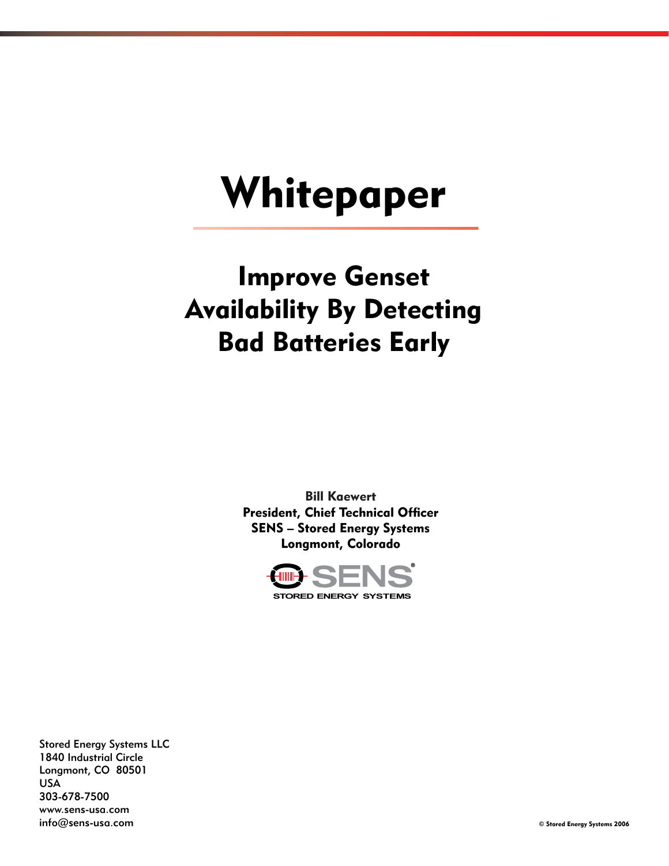# Whitepaper

## Improve Genset Availability By Detecting Bad Batteries Early

Bill Kaewert President, Chief Technical Officer SENS – Stored Energy Systems Longmont, Colorado



Stored Energy Systems LLC 1840 Industrial Circle Longmont, CO 80501 USA 303-678-7500 www.sens-usa.com info@sens-usa.com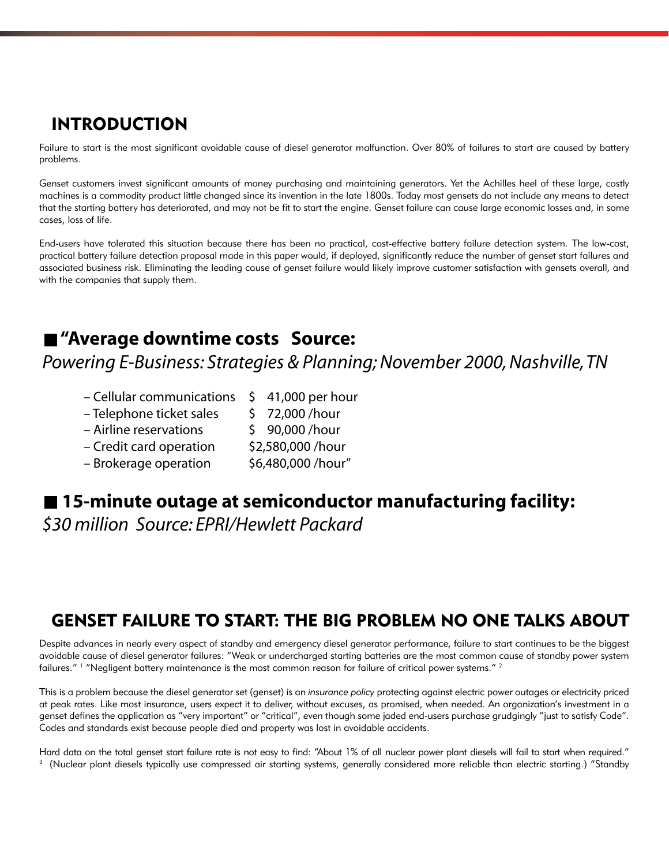## INTRODUCTION

Failure to start is the most significant avoidable cause of diesel generator malfunction. Over 80% of failures to start are caused by battery problems.

Genset customers invest significant amounts of money purchasing and maintaining generators. Yet the Achilles heel of these large, costly machines is a commodity product little changed since its invention in the late 1800s. Today most gensets do not include any means to detect that the starting battery has deteriorated, and may not be fit to start the engine. Genset failure can cause large economic losses and, in some cases, loss of life.

End-users have tolerated this situation because there has been no practical, cost-effective battery failure detection system. The low-cost, practical battery failure detection proposal made in this paper would, if deployed, significantly reduce the number of genset start failures and associated business risk. Eliminating the leading cause of genset failure would likely improve customer satisfaction with gensets overall, and with the companies that supply them.

## ■ "Average downtime costs Source: *Powering E-Business: Strategies & Planning; November 2000, Nashville, TN*

- Cellular communications \$ 41,000 per hour
- Telephone ticket sales \$72,000 / hour
- Airline reservations \$ 90,000 /hour
- Credit card operation \$2,580,000 /hour
- Brokerage operation \$6,480,000 /hour"

## ■ 15-minute outage at semiconductor manufacturing facility:

*\$30 million Source: EPRI/Hewlett Packard*

## GENSET FAILURE TO START: THE BIG PROBLEM NO ONE TALKS ABOUT

Despite advances in nearly every aspect of standby and emergency diesel generator performance, failure to start continues to be the biggest avoidable cause of diesel generator failures: "Weak or undercharged starting batteries are the most common cause of standby power system failures."  $^{\prime\prime}$  "Negligent battery maintenance is the most common reason for failure of critical power systems."  $^2$ 

This is a problem because the diesel generator set (genset) is an *insurance policy* protecting against electric power outages or electricity priced at peak rates. Like most insurance, users expect it to deliver, without excuses, as promised, when needed. An organization's investment in a genset defines the application as "very important" or "critical", even though some jaded end-users purchase grudgingly "just to satisfy Code". Codes and standards exist because people died and property was lost in avoidable accidents.

Hard data on the total genset start failure rate is not easy to find: "About 1% of all nuclear power plant diesels will fail to start when required." 3 (Nuclear plant diesels typically use compressed air starting systems, generally considered more reliable than electric starting.) "Standby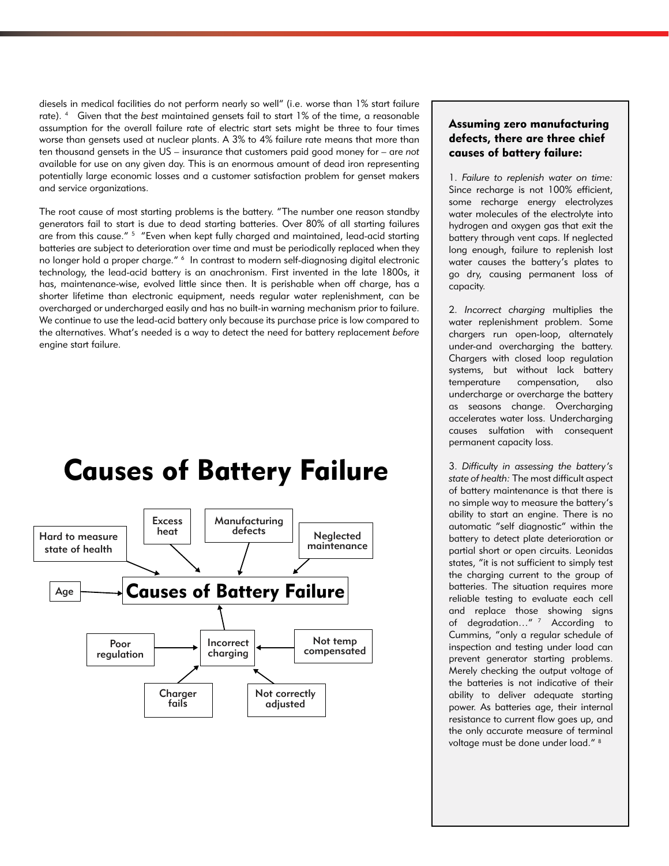diesels in medical facilities do not perform nearly so well" (i.e. worse than 1% start failure rate). 4 Given that the *best* maintained gensets fail to start 1% of the time, a reasonable assumption for the overall failure rate of electric start sets might be three to four times worse than gensets used at nuclear plants. A 3% to 4% failure rate means that more than ten thousand gensets in the US – insurance that customers paid good money for – are *not* available for use on any given day. This is an enormous amount of dead iron representing potentially large economic losses and a customer satisfaction problem for genset makers and service organizations.

The root cause of most starting problems is the battery. "The number one reason standby generators fail to start is due to dead starting batteries. Over 80% of all starting failures are from this cause." <sup>5</sup> "Even when kept fully charged and maintained, lead-acid starting batteries are subject to deterioration over time and must be periodically replaced when they no longer hold a proper charge." 6 In contrast to modern self-diagnosing digital electronic technology, the lead-acid battery is an anachronism. First invented in the late 1800s, it has, maintenance-wise, evolved little since then. It is perishable when off charge, has a shorter lifetime than electronic equipment, needs regular water replenishment, can be overcharged or undercharged easily and has no built-in warning mechanism prior to failure. We continue to use the lead-acid battery only because its purchase price is low compared to the alternatives. What's needed is a way to detect the need for battery replacement *before* engine start failure.

## Causes of Battery Failure



#### Assuming zero manufacturing defects, there are three chief causes of battery failure:

1. *Failure to replenish water on time:* Since recharge is not 100% efficient, some recharge energy electrolyzes water molecules of the electrolyte into hydrogen and oxygen gas that exit the battery through vent caps. If neglected long enough, failure to replenish lost water causes the battery's plates to go dry, causing permanent loss of capacity.

2. *Incorrect charging* multiplies the water replenishment problem. Some chargers run open-loop, alternately under-and overcharging the battery. Chargers with closed loop regulation systems, but without lack battery temperature compensation, also undercharge or overcharge the battery as seasons change. Overcharging accelerates water loss. Undercharging causes sulfation with consequent permanent capacity loss.

3. *Difficulty in assessing the battery's state of health:* The most difficult aspect of battery maintenance is that there is no simple way to measure the battery's ability to start an engine. There is no automatic "self diagnostic" within the battery to detect plate deterioration or partial short or open circuits. Leonidas states, "it is not sufficient to simply test the charging current to the group of batteries. The situation requires more reliable testing to evaluate each cell and replace those showing signs of degradation..."<sup>7</sup> According to Cummins, "only a regular schedule of inspection and testing under load can prevent generator starting problems. Merely checking the output voltage of the batteries is not indicative of their ability to deliver adequate starting power. As batteries age, their internal resistance to current flow goes up, and the only accurate measure of terminal voltage must be done under load." 8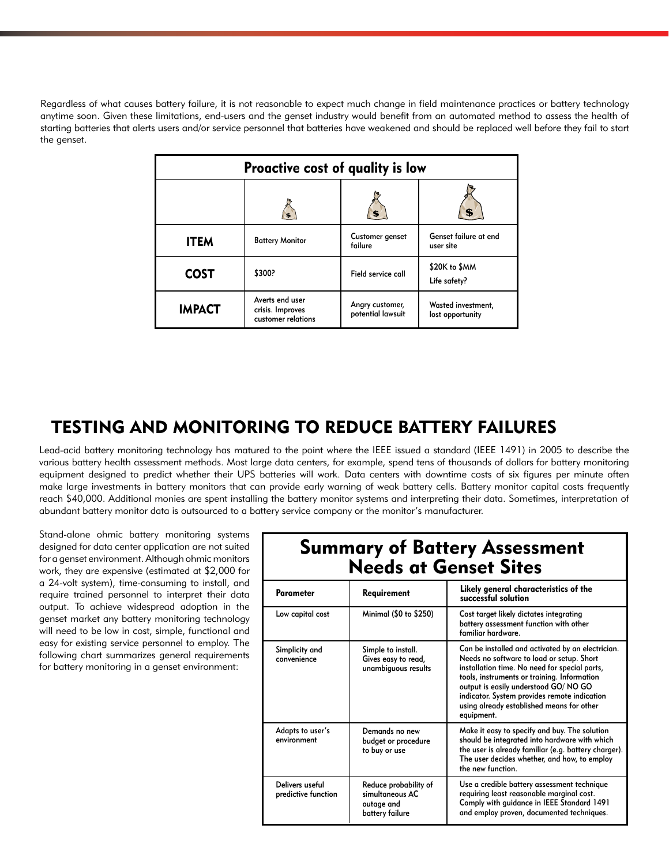Regardless of what causes battery failure, it is not reasonable to expect much change in field maintenance practices or battery technology anytime soon. Given these limitations, end-users and the genset industry would benefit from an automated method to assess the health of starting batteries that alerts users and/or service personnel that batteries have weakened and should be replaced well before they fail to start the genset.

| <b>Proactive cost of quality is low</b> |                                                           |                                      |                                        |
|-----------------------------------------|-----------------------------------------------------------|--------------------------------------|----------------------------------------|
|                                         | $\bullet$                                                 |                                      | S                                      |
| <b>ITEM</b>                             | <b>Battery Monitor</b>                                    | Customer genset<br>failure           | Genset failure at end<br>user site     |
| <b>COST</b>                             | \$300?                                                    | Field service call                   | \$20K to \$MM<br>Life safety?          |
| <b>IMPACT</b>                           | Averts end user<br>crisis. Improves<br>customer relations | Angry customer,<br>potential lawsuit | Wasted investment,<br>lost opportunity |

## TESTING AND MONITORING TO REDUCE BATTERY FAILURES

Lead-acid battery monitoring technology has matured to the point where the IEEE issued a standard (IEEE 1491) in 2005 to describe the various battery health assessment methods. Most large data centers, for example, spend tens of thousands of dollars for battery monitoring equipment designed to predict whether their UPS batteries will work. Data centers with downtime costs of six figures per minute often make large investments in battery monitors that can provide early warning of weak battery cells. Battery monitor capital costs frequently reach \$40,000. Additional monies are spent installing the battery monitor systems and interpreting their data. Sometimes, interpretation of abundant battery monitor data is outsourced to a battery service company or the monitor's manufacturer.

Stand-alone ohmic battery monitoring systems designed for data center application are not suited for a genset environment. Although ohmic monitors work, they are expensive (estimated at \$2,000 for a 24-volt system), time-consuming to install, and require trained personnel to interpret their data output. To achieve widespread adoption in the genset market any battery monitoring technology will need to be low in cost, simple, functional and easy for existing service personnel to employ. The following chart summarizes general requirements for battery monitoring in a genset environment:

| <b>Summary of Battery Assessment</b><br><b>Needs at Genset Sites</b> |                                                                           |                                                                                                                                                                                                                                                                                                                                                   |  |  |
|----------------------------------------------------------------------|---------------------------------------------------------------------------|---------------------------------------------------------------------------------------------------------------------------------------------------------------------------------------------------------------------------------------------------------------------------------------------------------------------------------------------------|--|--|
| Parameter                                                            | Requirement                                                               | Likely general characteristics of the<br>successful solution                                                                                                                                                                                                                                                                                      |  |  |
| Low capital cost                                                     | Minimal (\$0 to \$250)                                                    | Cost target likely dictates integrating<br>battery assessment function with other<br>familiar hardware.                                                                                                                                                                                                                                           |  |  |
| Simplicity and<br>convenience                                        | Simple to install.<br>Gives easy to read,<br>unambiguous results          | Can be installed and activated by an electrician.<br>Needs no software to load or setup. Short<br>installation time. No need for special parts,<br>tools, instruments or training. Information<br>output is easily understood GO/NO GO<br>indicator. System provides remote indication<br>using already established means for other<br>equipment. |  |  |
| Adapts to user's<br>environment                                      | Demands no new<br>budget or procedure<br>to buy or use                    | Make it easy to specify and buy. The solution<br>should be integrated into hardware with which<br>the user is already familiar (e.g. battery charger).<br>The user decides whether, and how, to employ<br>the new function.                                                                                                                       |  |  |
| Delivers useful<br>predictive function                               | Reduce probability of<br>simultaneous AC<br>outage and<br>battery failure | Use a credible battery assessment technique<br>requiring least reasonable marginal cost.<br>Comply with guidance in IEEE Standard 1491<br>and employ proven, documented techniques.                                                                                                                                                               |  |  |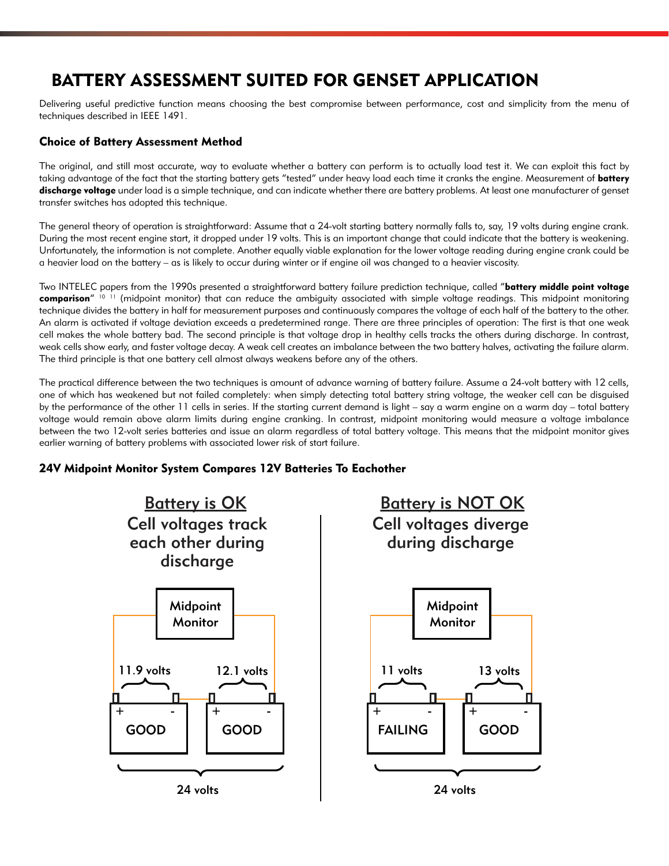## BATTERY ASSESSMENT SUITED FOR GENSET APPLICATION

Delivering useful predictive function means choosing the best compromise between performance, cost and simplicity from the menu of techniques described in IEEE 1491.

#### Choice of Battery Assessment Method

The original, and still most accurate, way to evaluate whether a battery can perform is to actually load test it. We can exploit this fact by taking advantage of the fact that the starting battery gets "tested" under heavy load each time it cranks the engine. Measurement of **battery** discharge voltage under load is a simple technique, and can indicate whether there are battery problems. At least one manufacturer of genset transfer switches has adopted this technique.

The general theory of operation is straightforward: Assume that a 24-volt starting battery normally falls to, say, 19 volts during engine crank. During the most recent engine start, it dropped under 19 volts. This is an important change that could indicate that the battery is weakening. Unfortunately, the information is not complete. Another equally viable explanation for the lower voltage reading during engine crank could be a heavier load on the battery – as is likely to occur during winter or if engine oil was changed to a heavier viscosity.

Two INTELEC papers from the 1990s presented a straightforward battery failure prediction technique, called "battery middle point voltage comparison" 10 11 (midpoint monitor) that can reduce the ambiguity associated with simple voltage readings. This midpoint monitoring technique divides the battery in half for measurement purposes and continuously compares the voltage of each half of the battery to the other. An alarm is activated if voltage deviation exceeds a predetermined range. There are three principles of operation: The first is that one weak cell makes the whole battery bad. The second principle is that voltage drop in healthy cells tracks the others during discharge. In contrast, weak cells show early, and faster voltage decay. A weak cell creates an imbalance between the two battery halves, activating the failure alarm. The third principle is that one battery cell almost always weakens before any of the others.

The practical difference between the two techniques is amount of advance warning of battery failure. Assume a 24-volt battery with 12 cells, one of which has weakened but not failed completely: when simply detecting total battery string voltage, the weaker cell can be disguised by the performance of the other 11 cells in series. If the starting current demand is light – say a warm engine on a warm day – total battery voltage would remain above alarm limits during engine cranking. In contrast, midpoint monitoring would measure a voltage imbalance between the two 12-volt series batteries and issue an alarm regardless of total battery voltage. This means that the midpoint monitor gives earlier warning of battery problems with associated lower risk of start failure.

#### 24V Midpoint Monitor System Compares 12V Batteries To Eachother





24 volts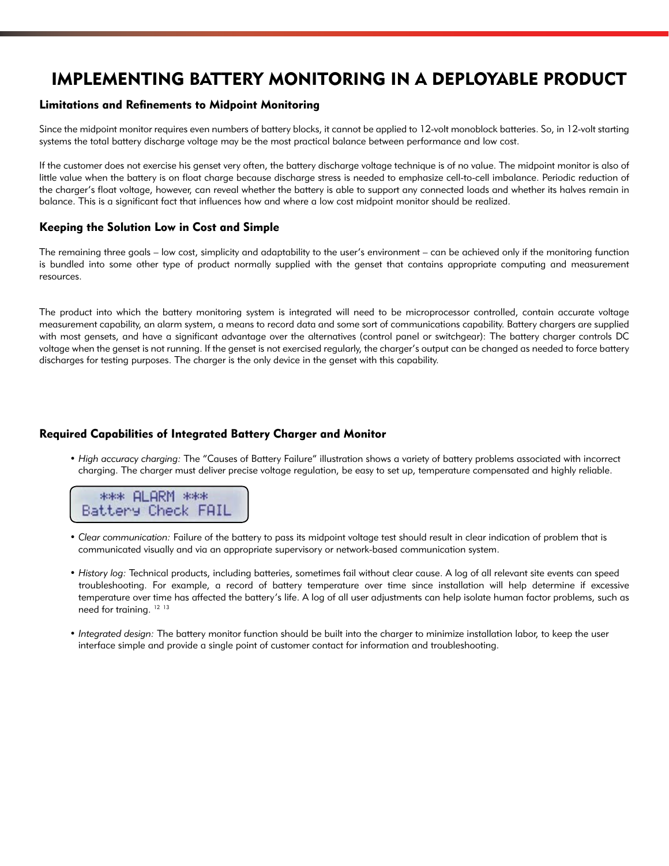## IMPLEMENTING BATTERY MONITORING IN A DEPLOYABLE PRODUCT

#### Limitations and Refinements to Midpoint Monitoring

Since the midpoint monitor requires even numbers of battery blocks, it cannot be applied to 12-volt monoblock batteries. So, in 12-volt starting systems the total battery discharge voltage may be the most practical balance between performance and low cost.

If the customer does not exercise his genset very often, the battery discharge voltage technique is of no value. The midpoint monitor is also of little value when the battery is on float charge because discharge stress is needed to emphasize cell-to-cell imbalance. Periodic reduction of the charger's float voltage, however, can reveal whether the battery is able to support any connected loads and whether its halves remain in balance. This is a significant fact that influences how and where a low cost midpoint monitor should be realized.

#### Keeping the Solution Low in Cost and Simple

The remaining three goals – low cost, simplicity and adaptability to the user's environment – can be achieved only if the monitoring function is bundled into some other type of product normally supplied with the genset that contains appropriate computing and measurement resources.

The product into which the battery monitoring system is integrated will need to be microprocessor controlled, contain accurate voltage measurement capability, an alarm system, a means to record data and some sort of communications capability. Battery chargers are supplied with most gensets, and have a significant advantage over the alternatives (control panel or switchgear): The battery charger controls DC voltage when the genset is not running. If the genset is not exercised regularly, the charger's output can be changed as needed to force battery discharges for testing purposes. The charger is the only device in the genset with this capability.

#### Required Capabilities of Integrated Battery Charger and Monitor

• *High accuracy charging:* The "Causes of Battery Failure" illustration shows a variety of battery problems associated with incorrect charging. The charger must deliver precise voltage regulation, be easy to set up, temperature compensated and highly reliable.



- *Clear communication:* Failure of the battery to pass its midpoint voltage test should result in clear indication of problem that is communicated visually and via an appropriate supervisory or network-based communication system.
- *History log:* Technical products, including batteries, sometimes fail without clear cause. A log of all relevant site events can speed troubleshooting. For example, a record of battery temperature over time since installation will help determine if excessive temperature over time has affected the battery's life. A log of all user adjustments can help isolate human factor problems, such as need for training. 12 13
- *Integrated design:* The battery monitor function should be built into the charger to minimize installation labor, to keep the user interface simple and provide a single point of customer contact for information and troubleshooting.